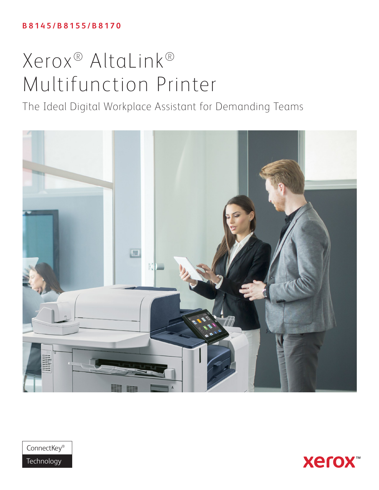# **B 8 1 4 5 / B 8 1 5 5 / B 8 1 7 0**

# Xerox® AltaLink® Multifunction Printer

The Ideal Digital Workplace Assistant for Demanding Teams





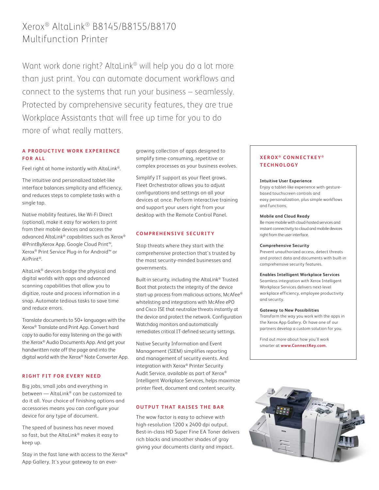# Xerox® AltaLink® B8145/B8155/B8170 Multifunction Printer

Want work done right? AltaLink® will help you do a lot more than just print. You can automate document workflows and connect to the systems that run your business – seamlessly. Protected by comprehensive security features, they are true Workplace Assistants that will free up time for you to do more of what really matters.

# **A P R O D U C T I V E W O R K E X P E R I E N C E FOR ALL**

Feel right at home instantly with AltaLink®.

The intuitive and personalized tablet-like interface balances simplicity and efficiency, and reduces steps to complete tasks with a single tap.

Native mobility features, like Wi-Fi Direct (optional), make it easy for workers to print from their mobile devices and access the advanced AltaLink® capabilities such as Xerox® @PrintByXerox App, Google Cloud Print™, Xerox® Print Service Plug-in for Android™ or AirPrint®.

AltaLink® devices bridge the physical and digital worlds with apps and advanced scanning capabilities that allow you to digitize, route and process information in a snap. Automate tedious tasks to save time and reduce errors.

Translate documents to 50+ languages with the Xerox® Translate and Print App. Convert hard copy to audio for easy listening on the go with the Xerox® Audio Documents App. And get your handwritten note off the page and into the digital world with the Xerox® Note Converter App.

### **RIGHT FIT FOR EVERY NEED**

Big jobs, small jobs and everything in between — AltaLink® can be customized to do it all. Your choice of finishing options and accessories means you can configure your device for any type of document.

The speed of business has never moved so fast, but the AltaLink® makes it easy to keep up.

Stay in the fast lane with access to the Xerox® App Gallery. It's your gateway to an evergrowing collection of apps designed to simplify time-consuming, repetitive or complex processes as your business evolves.

Simplify IT support as your fleet grows. Fleet Orchestrator allows you to adjust configurations and settings on all your devices at once. Perform interactive training and support your users right from your desktop with the Remote Control Panel.

### **COMPREHENSIVE SECURITY**

Stop threats where they start with the comprehensive protection that's trusted by the most security-minded businesses and governments.

Built-in security, including the AltaLink® Trusted Boot that protects the integrity of the device start-up process from malicious actions, McAfee® whitelisting and integrations with McAfee ePO and Cisco ISE that neutralize threats instantly at the device and protect the network. Configuration Watchdog monitors and automatically remediates critical IT-defined security settings.

Native Security Information and Event Management (SIEM) simplifies reporting and management of security events. And integration with Xerox® Printer Security Audit Service, available as part of Xerox® Intelligent Workplace Services, helps maximize printer fleet, document and content security.

# **OUTPUT THAT RAISES THE BAR**

The wow factor is easy to achieve with high-resolution 1200 x 2400 dpi output. Best-in-class HD Super Fine EA Toner delivers rich blacks and smoother shades of gray giving your documents clarity and impact.

# **XEROX ® CONNECTKEY ® TECHNOLOGY**

#### **Intuitive User Experience**

Enjoy a tablet-like experience with gesturebased touchscreen controls and easy personalization, plus simple workflows and functions.

#### **Mobile and Cloud Ready**

Be more mobile with cloud-hosted services and instant connectivity to cloud and mobile devices right from the user interface.

#### **Comprehensive Security**

Prevent unauthorized access, detect threats and protect data and documents with built-in comprehensive security features.

#### **Enables Intelligent Workplace Services**

Seamless integration with Xerox Intelligent Workplace Services delivers next-level workplace efficiency, employee productivity and security.

#### **Gateway to New Possibilities**

Transform the way you work with the apps in the Xerox App Gallery. Or have one of our partners develop a custom solution for you.

Find out more about how you'll work smarter at **[www.ConnectKey.com.](http://www.connectkey.com)**

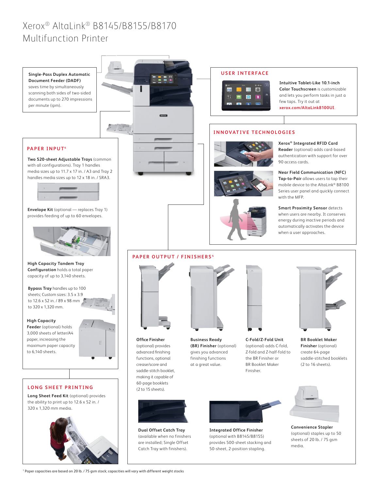# Xerox® AltaLink® B8145/B8155/B8170 Multifunction Printer



1 Paper capacities are based on 20 lb. / 75 gsm stock; capacities will vary with different weight stocks